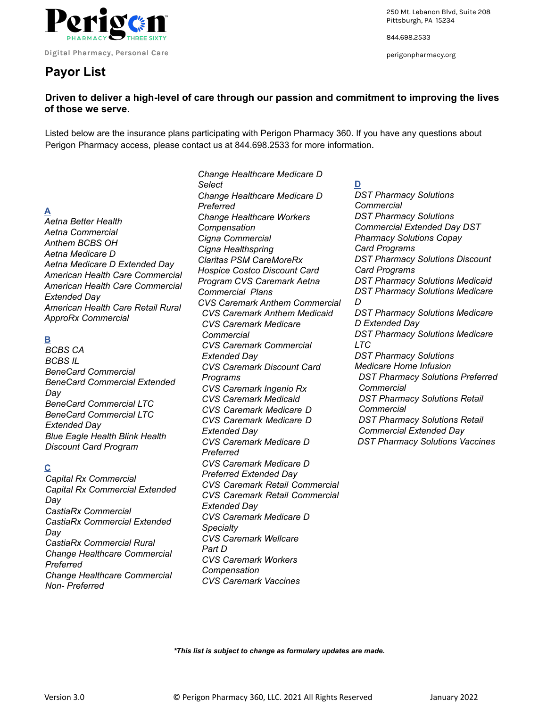

Digital Pharmacy, Personal Care

# **Payor List**

250 Mt. Lebanon Blvd, Suite 208 Pittsburgh, PA 15234

844.698.2533

perigonpharmacy.org

# **Driven to deliver a high-level of care through our passion and commitment to improving the lives of those we serve.**

 Listed below are the insurance plans participating with Perigon Pharmacy 360. If you have any questions about Perigon Pharmacy access, please contact us at 844.698.2533 for more information.

# **A**

 *Aetna Better Health Aetna Commercial Anthem BCBS OH Aetna Medicare D Aetna Medicare D Extended Day American Health Care Commercial American Health Care Commercial Extended Day American Health Care Retail Rural ApproRx Commercial* 

# **B**

 *BCBS CA BCBS IL BeneCard Commercial BeneCard Commercial Extended Day BeneCard Commercial LTC BeneCard Commercial LTC Extended Day Blue Eagle Health Blink Health Discount Card Program* 

# **C**

 *Capital Rx Commercial Capital Rx Commercial Extended Day CastiaRx Commercial CastiaRx Commercial Extended Day CastiaRx Commercial Rural Change Healthcare Commercial Preferred Change Healthcare Commercial Non- Preferred* 

 *Change Healthcare Medicare D Select Change Healthcare Medicare D Preferred Change Healthcare Workers Compensation Cigna Commercial Cigna Healthspring Claritas PSM CareMoreRx Hospice Costco Discount Card Program CVS Caremark Aetna Commercial Plans CVS Caremark Anthem Commercial CVS Caremark Anthem Medicaid CVS Caremark Medicare Commercial CVS Caremark Commercial Extended Day CVS Caremark Discount Card Programs CVS Caremark Ingenio Rx CVS Caremark Medicaid CVS Caremark Medicare D CVS Caremark Medicare D Extended Day CVS Caremark Medicare D Preferred CVS Caremark Medicare D Preferred Extended Day CVS Caremark Retail Commercial CVS Caremark Retail Commercial Extended Day CVS Caremark Medicare D Specialty CVS Caremark Wellcare Part D CVS Caremark Workers Compensation CVS Caremark Vaccines* 

 **D** 

 *DST Pharmacy Solutions Commercial DST Pharmacy Solutions Commercial Extended Day DST Pharmacy Solutions Copay Card Programs DST Pharmacy Solutions Discount Card Programs DST Pharmacy Solutions Medicaid DST Pharmacy Solutions Medicare D DST Pharmacy Solutions Medicare D Extended Day DST Pharmacy Solutions Medicare LTC DST Pharmacy Solutions Medicare Home Infusion DST Pharmacy Solutions Preferred Commercial DST Pharmacy Solutions Retail Commercial DST Pharmacy Solutions Retail Commercial Extended Day DST Pharmacy Solutions Vaccines* 

 *\*This list is subject to change as formulary updates are made.*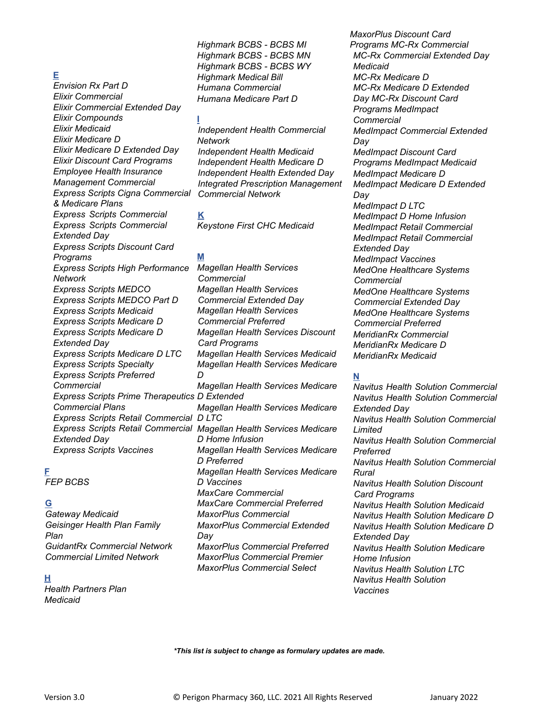## **E**

 *Envision Rx Part D Elixir Commercial Elixir Commercial Extended Day Elixir Compounds Elixir Medicaid Elixir Medicare D Elixir Medicare D Extended Day Elixir Discount Card Programs Employee Health Insurance Management Commercial Express Scripts Cigna Commercial & Medicare Plans Express Scripts Commercial Express Scripts Commercial Extended Day Express Scripts Discount Card Programs Express Scripts High Performance Network Express Scripts MEDCO Express Scripts MEDCO Part D Express Scripts Medicaid Express Scripts Medicare D Express Scripts Medicare D Extended Day Express Scripts Medicare D LTC Express Scripts Specialty Express Scripts Preferred Commercial Express Scripts Prime Therapeutics D Extended Commercial Plans Express Scripts Retail Commercial D LTC Extended Day Express Scripts Vaccines* 

#### **F**

 *FEP BCBS* 

#### **G**

 *Gateway Medicaid Geisinger Health Plan Family Plan GuidantRx Commercial Network Commercial Limited Network* 

#### **H**

 *Health Partners Plan Medicaid* 

 *Highmark BCBS - BCBS MI Highmark BCBS - BCBS MN Highmark BCBS - BCBS WY Highmark Medical Bill Humana Commercial Humana Medicare Part D* 

#### **I**

 *Independent Health Commercial Network Independent Health Medicaid Independent Health Medicare D Independent Health Extended Day Integrated Prescription Management Commercial Network* 

 **K**   *Keystone First CHC Medicaid* 

#### **M**

 *Express Scripts Retail Commercial Magellan Health Services Medicare Magellan Health Services Commercial Magellan Health Services Commercial Extended Day Magellan Health Services Commercial Preferred Magellan Health Services Discount Card Programs Magellan Health Services Medicaid Magellan Health Services Medicare D Magellan Health Services Medicare Magellan Health Services Medicare D Home Infusion Magellan Health Services Medicare D Preferred Magellan Health Services Medicare D Vaccines MaxCare Commercial MaxCare Commercial Preferred MaxorPlus Commercial MaxorPlus Commercial Extended Day MaxorPlus Commercial Preferred MaxorPlus Commercial Premier MaxorPlus Commercial Select* 

 *MaxorPlus Discount Card Programs MC-Rx Commercial MC-Rx Commercial Extended Day Medicaid MC-Rx Medicare D MC-Rx Medicare D Extended Day MC-Rx Discount Card Programs MedImpact Commercial MedImpact Commercial Extended Day MedImpact Discount Card Programs MedImpact Medicaid MedImpact Medicare D MedImpact Medicare D Extended Day MedImpact D LTC MedImpact D Home Infusion MedImpact Retail Commercial MedImpact Retail Commercial Extended Day MedImpact Vaccines MedOne Healthcare Systems Commercial MedOne Healthcare Systems Commercial Extended Day MedOne Healthcare Systems Commercial Preferred MeridianRx Commercial MeridianRx Medicare D MeridianRx Medicaid*

#### **N**

 *Navitus Health Solution Commercial Navitus Health Solution Commercial Extended Day Navitus Health Solution Commercial Limited Navitus Health Solution Commercial Preferred Navitus Health Solution Commercial Rural Navitus Health Solution Discount Card Programs Navitus Health Solution Medicaid Navitus Health Solution Medicare D Navitus Health Solution Medicare D Extended Day Navitus Health Solution Medicare Home Infusion Navitus Health Solution LTC Navitus Health Solution Vaccines* 

 *\*This list is subject to change as formulary updates are made.*